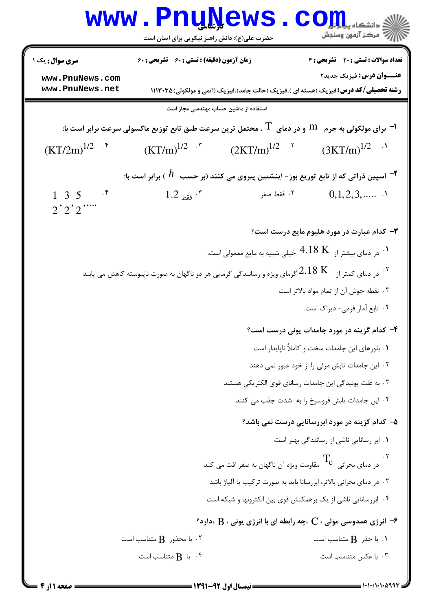|                                                                                                                        | <b>WWW.Pnunews</b><br>حضرت علی(ع): دانش راهبر نیکویی برای ایمان است                       |                                                                         | $\text{C}$ OII<br>رآ مرڪز آزمون وسنڊش                                                                                     |  |  |
|------------------------------------------------------------------------------------------------------------------------|-------------------------------------------------------------------------------------------|-------------------------------------------------------------------------|---------------------------------------------------------------------------------------------------------------------------|--|--|
| <b>سری سوال :</b> یک ۱                                                                                                 | <b>زمان آزمون (دقیقه) : تستی : 60 ٪ تشریحی : 60</b>                                       |                                                                         | تعداد سوالات : تستى : 20 - تشريحي : 4                                                                                     |  |  |
| www.PnuNews.com<br>www.PnuNews.net                                                                                     |                                                                                           |                                                                         | عنـــوان درس: فیزیک جدید۲<br><b>رشته تحصیلی/کد درس:</b> فیزیک (هسته ای )،فیزیک (حالت جامد)،فیزیک (اتمی و مولکولی) ۱۱۱۳۰۳۵ |  |  |
| استفاده از ماشین حساب مهندسی مجاز است                                                                                  |                                                                                           |                                                                         |                                                                                                                           |  |  |
| ا برای مولکولی به جرم $\,$ M و در دمای $\,$ ، محتمل ترین سرعت طبق تابع توزیع ماکسولی سرعت برابر است با: $\,$           |                                                                                           |                                                                         |                                                                                                                           |  |  |
| $(KT/2m)^{1/2}$                                                                                                        | $(KT/m)^{1/2}$ .                                                                          | $(2KT/m)^{1/2}$ .                                                       | $(3KT/m)^{1/2}$                                                                                                           |  |  |
|                                                                                                                        | اسپین ذراتی که از تابع توزیع بوز- اینشتین پیروی می کنند (بر حسب $\;N$ ) برابر است با $\;$ |                                                                         |                                                                                                                           |  |  |
| $1 \t3 \t5$<br>$\cdot$<br>$\overline{2}$ , $\overline{2}$ , $\overline{2}$ ,                                           | $1.2$ فقط $5.7$                                                                           | ٢. فقط صفر                                                              | 0,1,2,3,                                                                                                                  |  |  |
|                                                                                                                        |                                                                                           |                                                                         | ۰۳ کدام عبارت در مورد هلیوم مایع درست است؟                                                                                |  |  |
|                                                                                                                        |                                                                                           |                                                                         | ۰۱ در دمای بیشتر از $18\;{\rm K}$ خیلی شبیه به مایع معمولی است.                                                           |  |  |
| ۰۲ در دمای کمتر از $\rm{K}$ گرمای ویژه و رسانندگی گرمایی هر دو ناگهان به صورت ناپیوسته کاهش می یابند $^{\rm{^\prime}}$ |                                                                                           |                                                                         |                                                                                                                           |  |  |
|                                                                                                                        |                                                                                           |                                                                         | ۰۳ نقطه جوش آن از تمام مواد بالاتر است                                                                                    |  |  |
|                                                                                                                        |                                                                                           |                                                                         | ۴. تابع آمار فرمي- ديراک است.                                                                                             |  |  |
|                                                                                                                        |                                                                                           |                                                                         | ۴- کدام گزینه در مورد جامدات یونی درست است؟                                                                               |  |  |
|                                                                                                                        |                                                                                           |                                                                         | ٠١ بلورهاي اين جامدات سخت و كاملاً ناپايدار است                                                                           |  |  |
|                                                                                                                        |                                                                                           |                                                                         | ٠٢ اين جامدات تابش مرئي را از خود عبور نمي دهند                                                                           |  |  |
|                                                                                                                        |                                                                                           |                                                                         | ۰۳ به علت یونیدگی این جامدات رسانای قوی الکتریکی هستند                                                                    |  |  |
| ۰۴ این جامدات تابش فروسرخ را به شدت جذب می کنند                                                                        |                                                                                           |                                                                         |                                                                                                                           |  |  |
|                                                                                                                        | ۵– کدام گزینه در مورد ابررسانایی درست نمی باشد؟                                           |                                                                         |                                                                                                                           |  |  |
|                                                                                                                        |                                                                                           |                                                                         | ٠١ ابر رسانايي ناشي از رسانندگي بهتر است                                                                                  |  |  |
|                                                                                                                        |                                                                                           | در دمای بحرانی $\Gamma_{\rm c}$ مقاومت ویژه آن ناگهان به صفر افت می کند |                                                                                                                           |  |  |
|                                                                                                                        |                                                                                           |                                                                         | ۰۳ در دمای بحرانی بالاتر، ابررسانا باید به صورت ترکیب یا آلیاژ باشد                                                       |  |  |
|                                                                                                                        |                                                                                           |                                                                         | ۰۴ ابررسانایی ناشی از یک برهمکنش قوی بین الکترونها و شبکه است                                                             |  |  |
|                                                                                                                        |                                                                                           |                                                                         | $\cdot$ ه انرژی همدوسی مولی ، $\rm C$ ،چه رابطه ای با انرژی یونی ، $\rm B$ ،دارد $\cdot$                                  |  |  |
|                                                                                                                        | ا با مجذور $\, {\bf B} \,$ متناسب است $\, \cdot \,$ ۲                                     |                                                                         | $\cdot$ ا $\cdot$ با جذر $\cdot$ متناسب است                                                                               |  |  |
|                                                                                                                        | نا $\mathbf B$ متناسب است $\mathbf f$                                                     |                                                                         | ۰۳ با عکس متناسب است                                                                                                      |  |  |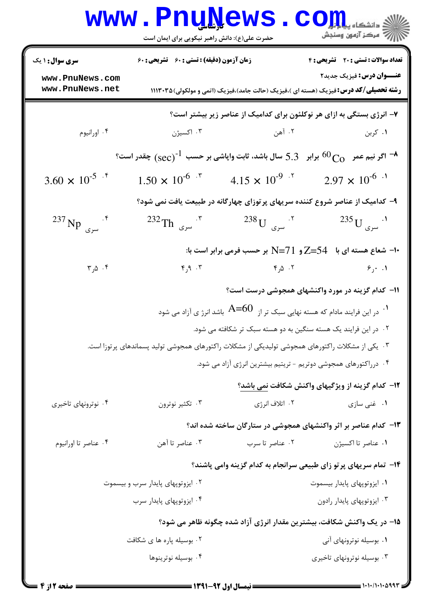|                                                              | <b>www.PnuNews</b><br>حضرت علی(ع): دانش راهبر نیکویی برای ایمان است                               |                                                                                                          | الله دانشکاه پیالی استفاده بال<br>الله مرکز آزمون وسنجش                                                                                                                   |
|--------------------------------------------------------------|---------------------------------------------------------------------------------------------------|----------------------------------------------------------------------------------------------------------|---------------------------------------------------------------------------------------------------------------------------------------------------------------------------|
| <b>سری سوال :</b> ۱ یک<br>www.PnuNews.com<br>www.PnuNews.net | زمان آزمون (دقیقه) : تستی : 60 ٪ تشریحی : 60                                                      |                                                                                                          | تعداد سوالات : تستى : 20 ٪ تشريحي : 4<br><b>عنـــوان درس:</b> فیزیک جدید۲<br><b>رشته تحصیلی/کد درس:</b> فیزیک (هسته ای )،فیزیک (حالت جامد)،فیزیک (اتمی و مولکولی) ۱۱۱۳۰۳۵ |
|                                                              |                                                                                                   |                                                                                                          | ۷- انرژی بستگی به ازای هر نوکلئون برای کدامیک از عناصر زیر بیشتر است؟                                                                                                     |
| ۰۴ اورانيوم                                                  | ۰۳ اکسیژن                                                                                         | ۲. آهن                                                                                                   | ۰۱ کربن                                                                                                                                                                   |
|                                                              |                                                                                                   |                                                                                                          | $^{\circ}$ اگر نیم عمر $^{\circ}$ $_{\rm CO}$ برابر $5.3$ سال باشد، ثابت واپاشی بر حسب $^{-1}$ $_{\rm (sec)}$ ) چقدر است $^{\circ}$                                       |
| $3.60 \times 10^{-5}$ f                                      | $1.50 \times 10^{-6}$ <sup>*</sup>                                                                | $4.15 \times 10^{-9}$                                                                                    | $2.97 \times 10^{-6}$ <sup>.1</sup>                                                                                                                                       |
|                                                              |                                                                                                   |                                                                                                          | ۹- کدامیک از عناصر شروع کننده سریهای پرتوزای چهارگانه در طبیعت یافت نمی شود؟                                                                                              |
| $^{237}$ Np $^{5}$                                           | $^{232}$ Th سری Th                                                                                | $^{238}{\rm U}$ سری $^{17}$                                                                              | $^{235}$ U سری $^{11}$                                                                                                                                                    |
|                                                              |                                                                                                   |                                                                                                          | ∙۱- شعاع هسته ای با ۔ Z=54 و N=71 بر حسب فرمی برابر است با:                                                                                                               |
| $\mathbf{r}_{1}$ ۵.۴                                         | F, 9, .7                                                                                          | ۰۲ ۵٫۵                                                                                                   | $\epsilon$ , $\cdot$ .1                                                                                                                                                   |
|                                                              |                                                                                                   |                                                                                                          | 11- کدام گزینه در مورد واکنشهای همجوشی درست است؟                                                                                                                          |
|                                                              |                                                                                                   | $\,$ . در این فرایند مادام که هسته نهایی سبک تر از $\,$ $\,$ $\,$ $\,$ $\,$ باشد انرژ ی آزاد می شود $\,$ |                                                                                                                                                                           |
|                                                              |                                                                                                   | ۰۲ در این فرایند یک هسته سنگین به دو هسته سبک تر شکافته می شود.                                          |                                                                                                                                                                           |
|                                                              | ۰۳ یکی از مشکلات راکتورهای همجوشی تولیدیکی از مشکلات راکتورهای همجوشی تولید پسماندهای پرتوزا است. |                                                                                                          |                                                                                                                                                                           |
|                                                              |                                                                                                   | ۰۴ درراکتورهای همجوشی دوتریم - تریتیم بیشترین انرژی آزاد می شود.                                         |                                                                                                                                                                           |
|                                                              |                                                                                                   |                                                                                                          | ۱۲– کدام گزینه از ویژگیهای واکنش شکافت نمی باشد؟                                                                                                                          |
| ۰۴ نوترونهای تاخیری                                          | ۰۳ تکثیر نوترون                                                                                   | ۰۲ اتلاف انرژی                                                                                           | ۰۱ غنی سازی                                                                                                                                                               |
|                                                              |                                                                                                   |                                                                                                          | ۱۳- کدام عناصر بر اثر واکنشهای همجوشی در ستارگان ساخته شده اند؟                                                                                                           |
| ۰۴ عناصر تا اورانيوم                                         | ۰۳ عناصر تا آهن                                                                                   | ۰۲ عناصر تا سرب                                                                                          | ٠١ عناصر تا اكسيژن                                                                                                                                                        |
|                                                              |                                                                                                   |                                                                                                          | ۱۴- تمام سریهای پرتو زای طبیعی سرانجام به کدام گزینه وامی پاشند؟                                                                                                          |
|                                                              | ۰۲ ایزوتوپهای پایدار سرب و بیسموت                                                                 |                                                                                                          | ۰۱ ایزوتوپهای پایدار بیسموت                                                                                                                                               |
|                                                              | ۰۴ ایزوتوپهای پایدار سرب                                                                          |                                                                                                          | ۰۳ ایزوتوپهای پایدار رادون                                                                                                                                                |

۱۵– در یک واکنش شکافت، بیشترین مقدار انرژی آزاد شده چگونه ظاهر می شود؟

**۱**. بوسیله نوترونهای آنی ۰۲ بوسیله پاره ها ی شکافت ۰۴ بوسیله نوترینوها ۰۳ بوسیله نوترونهای تاخیری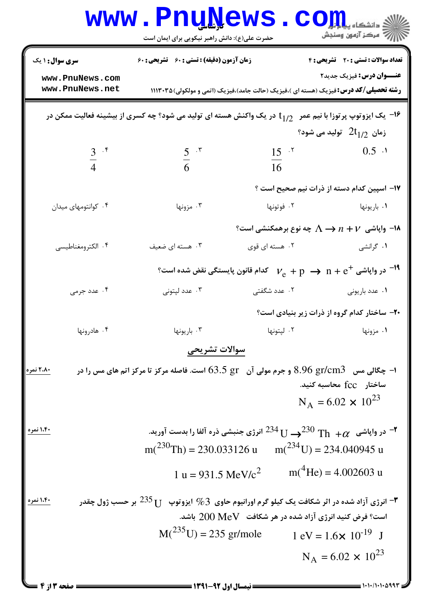| <b>سری سوال :</b> ۱ یک                                                        | زمان آزمون (دقیقه) : تستی : 60 ٪ تشریحی : 60                                                                             |                                                                                                                | تعداد سوالات : تستى : 20 تشريحي : 4          |
|-------------------------------------------------------------------------------|--------------------------------------------------------------------------------------------------------------------------|----------------------------------------------------------------------------------------------------------------|----------------------------------------------|
| www.PnuNews.com<br>www.PnuNews.net                                            |                                                                                                                          | <b>رشته تحصیلی/کد درس:</b> فیزیک (هسته ای )،فیزیک (حالت جامد)،فیزیک (اتمی و مولکولی) ۱۱۱۳۰۳۵                   | <b>عنـــوان درس:</b> فیزیک جدید۲             |
|                                                                               | اس یک ایزوتوپ پرتوزا با نیم عمر $\,\,$ $\,$ در یک واکنش هسته ای تولید می شود؟ چه کسری از بیشینه فعالیت ممکن در $\,$ $\,$ |                                                                                                                |                                              |
|                                                                               |                                                                                                                          |                                                                                                                | زمان $2\mathsf{t}_{1/2}$ تولید می شود؟       |
| $rac{3}{4}$ $\cdot$ $\frac{5}{4}$                                             | $rac{5}{6}$ $\cdot$ $\cdot$                                                                                              | $15 - 7$                                                                                                       | $0.5$ $\cdot$                                |
|                                                                               |                                                                                                                          | 16                                                                                                             |                                              |
|                                                                               |                                                                                                                          |                                                                                                                | ۱۷– اسپین کدام دسته از ذرات نیم صحیح است ؟   |
| ۰۴ کوانتومهای میدان                                                           | ۰۳ مزونها                                                                                                                | ۰۲ فوتونها                                                                                                     | ۰۱ باريونها                                  |
|                                                                               |                                                                                                                          | ا− واپاشی $\Lambda \to n + V$ چه نوع برهمکنشی است؟                                                             |                                              |
| ۰۴ الكترومغناطيسي                                                             | ۰۳ هسته ای ضعیف                                                                                                          | ۰۲ هسته ای قوی                                                                                                 | ۰۱ گرانشی                                    |
|                                                                               |                                                                                                                          |                                                                                                                |                                              |
|                                                                               |                                                                                                                          | $^{\circ}$ در واپاشی $\rm e^+$ $\rm e^ \rm p \, \rightarrow \, n + e^+$ کدام قانون پایستگی نقض شده است $^{-1}$ |                                              |
| ۰۴ عدد جرمی                                                                   | ۰۳ عدد لپتونی                                                                                                            | ۰۲ عدد شگفتی                                                                                                   | ٠١ عدد باريونى                               |
|                                                                               |                                                                                                                          |                                                                                                                | ۲۰– ساختار کدام گروه از ذرات زیر بنیادی است؟ |
| ۰۴ هادرونها                                                                   | ۰۳ باريونها                                                                                                              | ۰۲ لپتونها                                                                                                     | ۰۱ مزونها                                    |
|                                                                               | سوالات تشريحى                                                                                                            |                                                                                                                |                                              |
| ۲،۸۰ نمره                                                                     | ا- چگالی مس۔ 8.96 gr/cm3 و جرم مولی آن۔ 5 63.5 است. فاصله مرکز تا مرکز اتم های مس را در $\,$                             |                                                                                                                |                                              |
|                                                                               |                                                                                                                          |                                                                                                                | ساختار fcc محاسبه کنید.                      |
|                                                                               |                                                                                                                          |                                                                                                                | $N_A = 6.02 \times 10^{23}$                  |
| ۱،۴۰ نمره                                                                     |                                                                                                                          |                                                                                                                |                                              |
|                                                                               | در واپاشی $\rm \gamma_{th}$ $\rm \gamma_{th}$ $^{234}$ ل $^{234}$ انرژی جنبشی ذره آلفا را بدست آورید. $\rm \gamma$       |                                                                                                                |                                              |
| $m(^{230}Th) = 230.033126 \text{ u} \qquad m(^{234}U) = 234.040945 \text{ u}$ |                                                                                                                          |                                                                                                                |                                              |
|                                                                               | 1 u = 931.5 MeV/ $c^2$                                                                                                   |                                                                                                                | $m(^{4}He) = 4.002603$ u                     |
| ۱،۴۰ نمره                                                                     |                                                                                                                          |                                                                                                                |                                              |
|                                                                               | انرژی آزاد شده در اثر شکافت یک کیلو گرم اورانیوم حاوی $\%$ آیزوتوپ $^{-1}$ $^{-235}$ بر حسب ژول چقدر "                   |                                                                                                                |                                              |
| $M(^{235}U) = 235$ gr/mole<br>$1 \text{ eV} = 1.6 \times 10^{-19} \text{ J}$  |                                                                                                                          |                                                                                                                |                                              |
|                                                                               |                                                                                                                          |                                                                                                                |                                              |

 $= 1.1 - 11.1 - 0994$